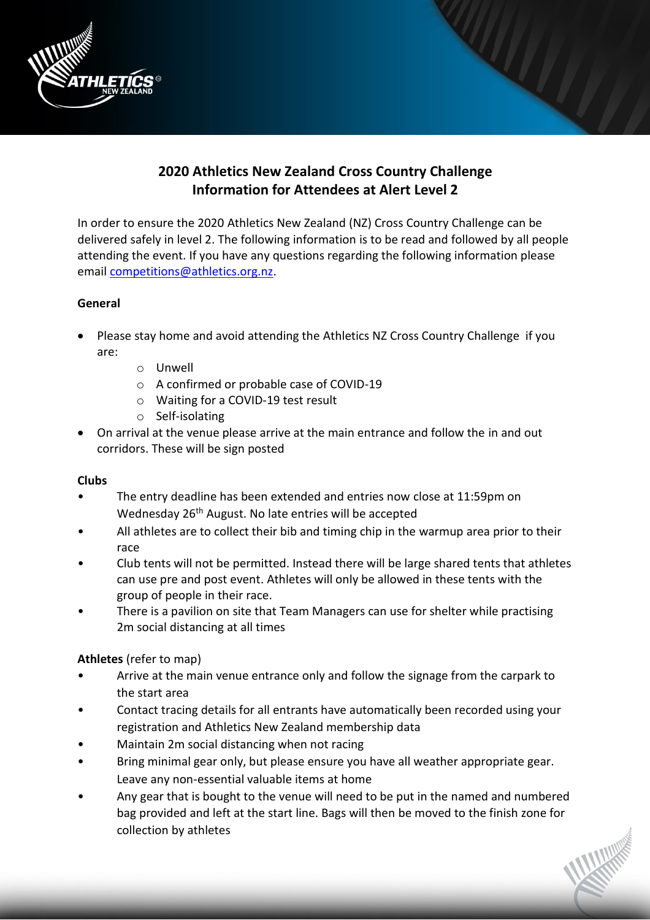

# **2020 Athletics New Zealand Cross Country Challenge Information for Attendees at Alert Level 2**

In order to ensure the 2020 Athletics New Zealand (NZ) Cross Country Challenge can be delivered safely in level 2. The following information is to be read and followed by all people attending the event. If you have any questions regarding the following information please email [competitions@athletics.org.nz.](mailto:competitions@athletics.org.nz)

# **General**

- Please stay home and avoid attending the Athletics NZ Cross Country Challenge if you are:
	- o Unwell
	- o A confirmed or probable case of COVID-19
	- o Waiting for a COVID-19 test result
	- o Self-isolating
- On arrival at the venue please arrive at the main entrance and follow the in and out corridors. These will be sign posted

### **Clubs**

- The entry deadline has been extended and entries now close at 11:59pm on Wednesday 26<sup>th</sup> August. No late entries will be accepted
- All athletes are to collect their bib and timing chip in the warmup area prior to their race
- Club tents will not be permitted. Instead there will be large shared tents that athletes can use pre and post event. Athletes will only be allowed in these tents with the group of people in their race.
- There is a pavilion on site that Team Managers can use for shelter while practising 2m social distancing at all times

# **Athletes** (refer to map)

- Arrive at the main venue entrance only and follow the signage from the carpark to the start area
- Contact tracing details for all entrants have automatically been recorded using your registration and Athletics New Zealand membership data
- Maintain 2m social distancing when not racing
- Bring minimal gear only, but please ensure you have all weather appropriate gear. Leave any non-essential valuable items at home
- Any gear that is bought to the venue will need to be put in the named and numbered bag provided and left at the start line. Bags will then be moved to the finish zone for collection by athletes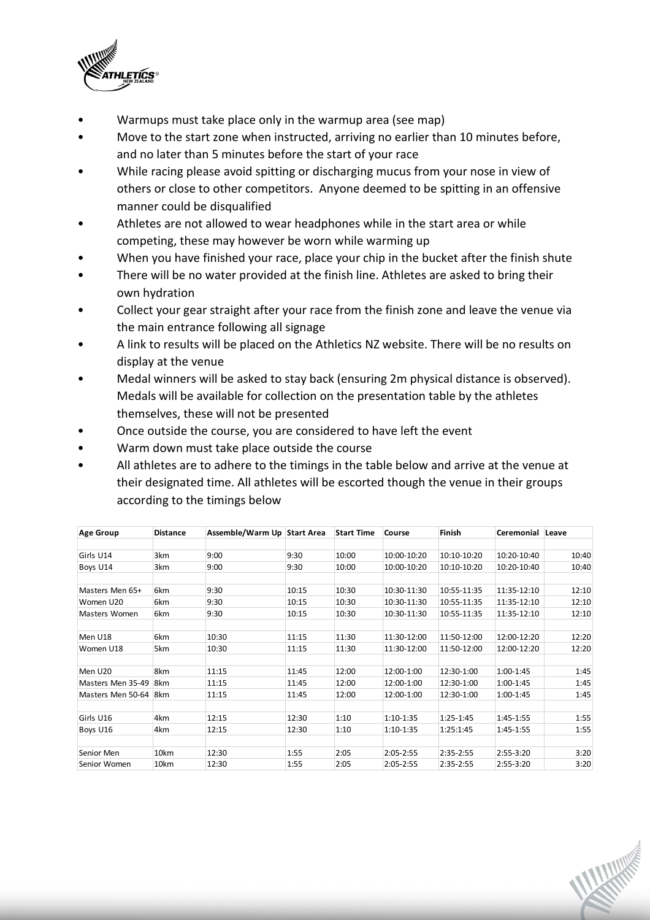

- Warmups must take place only in the warmup area (see map)
- Move to the start zone when instructed, arriving no earlier than 10 minutes before, and no later than 5 minutes before the start of your race
- While racing please avoid spitting or discharging mucus from your nose in view of others or close to other competitors. Anyone deemed to be spitting in an offensive manner could be disqualified
- Athletes are not allowed to wear headphones while in the start area or while competing, these may however be worn while warming up
- When you have finished your race, place your chip in the bucket after the finish shute
- There will be no water provided at the finish line. Athletes are asked to bring their own hydration
- Collect your gear straight after your race from the finish zone and leave the venue via the main entrance following all signage
- A link to results will be placed on the Athletics NZ website. There will be no results on display at the venue
- Medal winners will be asked to stay back (ensuring 2m physical distance is observed). Medals will be available for collection on the presentation table by the athletes themselves, these will not be presented
- Once outside the course, you are considered to have left the event
- Warm down must take place outside the course
- All athletes are to adhere to the timings in the table below and arrive at the venue at their designated time. All athletes will be escorted though the venue in their groups according to the timings below

| <b>Age Group</b>  | <b>Distance</b> | Assemble/Warm Up Start Area |       | <b>Start Time</b> | Course      | Finish      | Ceremonial  | Leave |
|-------------------|-----------------|-----------------------------|-------|-------------------|-------------|-------------|-------------|-------|
|                   |                 |                             |       |                   |             |             |             |       |
| Girls U14         | 3km             | 9:00                        | 9:30  | 10:00             | 10:00-10:20 | 10:10-10:20 | 10:20-10:40 | 10:40 |
| Boys U14          | 3km             | 9:00                        | 9:30  | 10:00             | 10:00-10:20 | 10:10-10:20 | 10:20-10:40 | 10:40 |
|                   |                 |                             |       |                   |             |             |             |       |
| Masters Men 65+   | 6km             | 9:30                        | 10:15 | 10:30             | 10:30-11:30 | 10:55-11:35 | 11:35-12:10 | 12:10 |
| Women U20         | 6km             | 9:30                        | 10:15 | 10:30             | 10:30-11:30 | 10:55-11:35 | 11:35-12:10 | 12:10 |
| Masters Women     | 6km             | 9:30                        | 10:15 | 10:30             | 10:30-11:30 | 10:55-11:35 | 11:35-12:10 | 12:10 |
| Men U18           | 6km             | 10:30                       | 11:15 | 11:30             | 11:30-12:00 | 11:50-12:00 | 12:00-12:20 | 12:20 |
| Women U18         | 5km             | 10:30                       | 11:15 | 11:30             | 11:30-12:00 | 11:50-12:00 | 12:00-12:20 | 12:20 |
| Men U20           | 8km             | 11:15                       | 11:45 | 12:00             | 12:00-1:00  | 12:30-1:00  | 1:00-1:45   | 1:45  |
| Masters Men 35-49 | 8km             | 11:15                       | 11:45 | 12:00             | 12:00-1:00  | 12:30-1:00  | 1:00-1:45   | 1:45  |
| Masters Men 50-64 | 8km             | 11:15                       | 11:45 | 12:00             | 12:00-1:00  | 12:30-1:00  | 1:00-1:45   | 1:45  |
| Girls U16         | 4km             | 12:15                       | 12:30 | 1:10              | 1:10-1:35   | 1:25-1:45   | 1:45-1:55   | 1:55  |
| Boys U16          | 4km             | 12:15                       | 12:30 | 1:10              | 1:10-1:35   | 1:25:1:45   | 1:45-1:55   | 1:55  |
|                   |                 |                             |       |                   |             |             |             |       |
| Senior Men        | 10km            | 12:30                       | 1:55  | 2:05              | 2:05-2:55   | 2:35-2:55   | 2:55-3:20   | 3:20  |
| Senior Women      | 10km            | 12:30                       | 1:55  | 2:05              | 2:05-2:55   | 2:35-2:55   | 2:55-3:20   | 3:20  |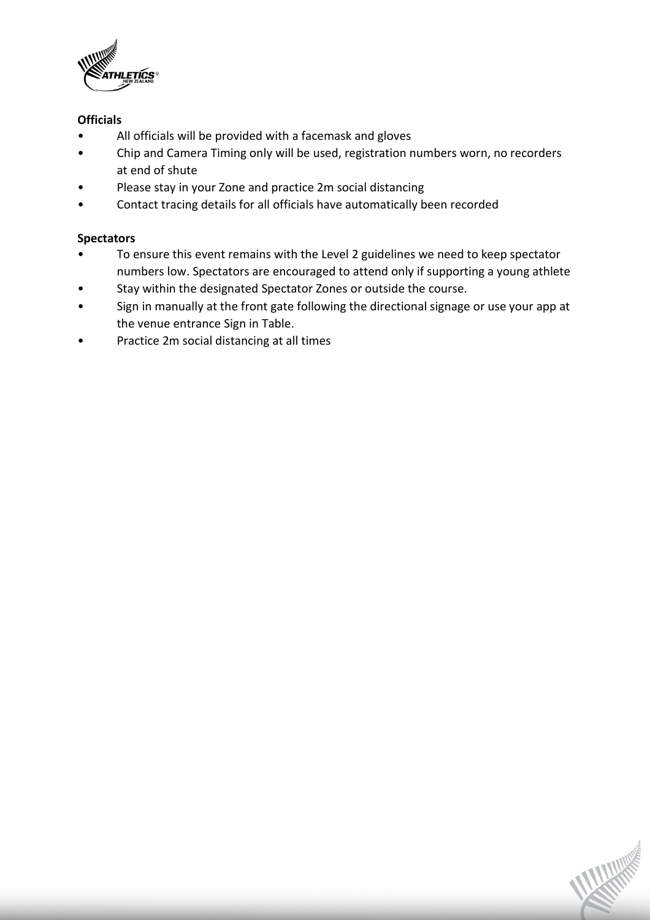

# **Officials**

- All officials will be provided with a facemask and gloves
- Chip and Camera Timing only will be used, registration numbers worn, no recorders at end of shute
- Please stay in your Zone and practice 2m social distancing
- Contact tracing details for all officials have automatically been recorded

# **Spectators**

- To ensure this event remains with the Level 2 guidelines we need to keep spectator numbers low. Spectators are encouraged to attend only if supporting a young athlete
- Stay within the designated Spectator Zones or outside the course.
- Sign in manually at the front gate following the directional signage or use your app at the venue entrance Sign in Table.
- Practice 2m social distancing at all times